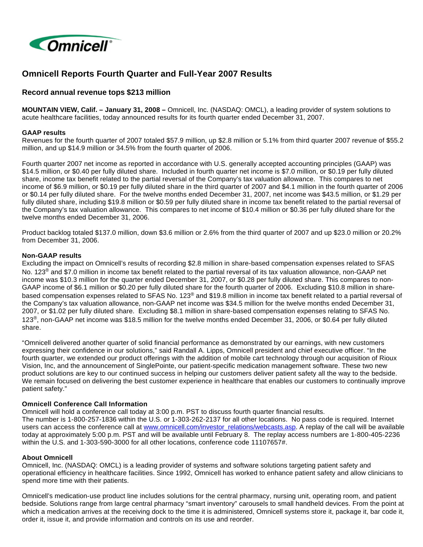

# **Omnicell Reports Fourth Quarter and Full-Year 2007 Results**

# **Record annual revenue tops \$213 million**

**MOUNTAIN VIEW, Calif. – January 31, 2008 –** Omnicell, Inc. (NASDAQ: OMCL), a leading provider of system solutions to acute healthcare facilities, today announced results for its fourth quarter ended December 31, 2007.

## **GAAP results**

Revenues for the fourth quarter of 2007 totaled \$57.9 million, up \$2.8 million or 5.1% from third quarter 2007 revenue of \$55.2 million, and up \$14.9 million or 34.5% from the fourth quarter of 2006.

Fourth quarter 2007 net income as reported in accordance with U.S. generally accepted accounting principles (GAAP) was \$14.5 million, or \$0.40 per fully diluted share. Included in fourth quarter net income is \$7.0 million, or \$0.19 per fully diluted share, income tax benefit related to the partial reversal of the Company's tax valuation allowance. This compares to net income of \$6.9 million, or \$0.19 per fully diluted share in the third quarter of 2007 and \$4.1 million in the fourth quarter of 2006 or \$0.14 per fully diluted share. For the twelve months ended December 31, 2007, net income was \$43.5 million, or \$1.29 per fully diluted share, including \$19.8 million or \$0.59 per fully diluted share in income tax benefit related to the partial reversal of the Company's tax valuation allowance. This compares to net income of \$10.4 million or \$0.36 per fully diluted share for the twelve months ended December 31, 2006.

Product backlog totaled \$137.0 million, down \$3.6 million or 2.6% from the third quarter of 2007 and up \$23.0 million or 20.2% from December 31, 2006.

#### **Non-GAAP results**

Excluding the impact on Omnicell's results of recording \$2.8 million in share-based compensation expenses related to SFAS No. 123<sup>®</sup> and \$7.0 million in income tax benefit related to the partial reversal of its tax valuation allowance, non-GAAP net income was \$10.3 million for the quarter ended December 31, 2007, or \$0.28 per fully diluted share. This compares to non-GAAP income of \$6.1 million or \$0.20 per fully diluted share for the fourth quarter of 2006. Excluding \$10.8 million in sharebased compensation expenses related to SFAS No. 123® and \$19.8 million in income tax benefit related to a partial reversal of the Company's tax valuation allowance, non-GAAP net income was \$34.5 million for the twelve months ended December 31, 2007, or \$1.02 per fully diluted share. Excluding \$8.1 million in share-based compensation expenses relating to SFAS No. 123<sup>®</sup>, non-GAAP net income was \$18.5 million for the twelve months ended December 31, 2006, or \$0.64 per fully diluted share.

"Omnicell delivered another quarter of solid financial performance as demonstrated by our earnings, with new customers expressing their confidence in our solutions," said Randall A. Lipps, Omnicell president and chief executive officer. "In the fourth quarter, we extended our product offerings with the addition of mobile cart technology through our acquisition of Rioux Vision, Inc, and the announcement of SinglePointe, our patient-specific medication management software. These two new product solutions are key to our continued success in helping our customers deliver patient safety all the way to the bedside. We remain focused on delivering the best customer experience in healthcare that enables our customers to continually improve patient safety."

# **Omnicell Conference Call Information**

Omnicell will hold a conference call today at 3:00 p.m. PST to discuss fourth quarter financial results. The number is 1-800-257-1836 within the U.S. or 1-303-262-2137 for all other locations. No pass code is required. Internet users can access the conference call at [www.omnicell.com/investor\\_relations/webcasts.asp](http://www.omnicell.com/investor_relations/webcasts.asp). A replay of the call will be available today at approximately 5:00 p.m. PST and will be available until February 8. The replay access numbers are 1-800-405-2236 within the U.S. and 1-303-590-3000 for all other locations, conference code 11107657#.

#### **About Omnicell**

Omnicell, Inc. (NASDAQ: OMCL) is a leading provider of systems and software solutions targeting patient safety and operational efficiency in healthcare facilities. Since 1992, Omnicell has worked to enhance patient safety and allow clinicians to spend more time with their patients.

Omnicell's medication-use product line includes solutions for the central pharmacy, nursing unit, operating room, and patient bedside. Solutions range from large central pharmacy "smart inventory" carousels to small handheld devices. From the point at which a medication arrives at the receiving dock to the time it is administered, Omnicell systems store it, package it, bar code it, order it, issue it, and provide information and controls on its use and reorder.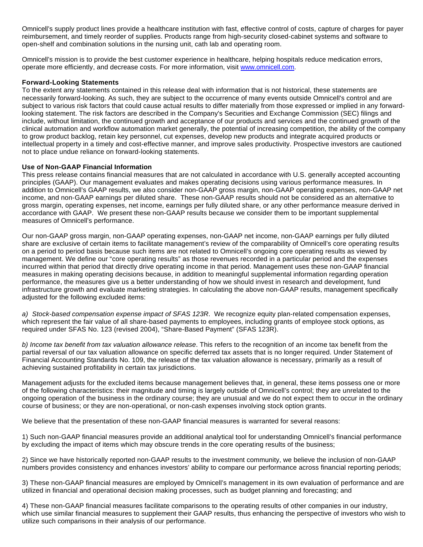Omnicell's supply product lines provide a healthcare institution with fast, effective control of costs, capture of charges for payer reimbursement, and timely reorder of supplies. Products range from high-security closed-cabinet systems and software to open-shelf and combination solutions in the nursing unit, cath lab and operating room.

Omnicell's mission is to provide the best customer experience in healthcare, helping hospitals reduce medication errors, operate more efficiently, and decrease costs. For more information, visit [www.omnicell.com](http://www.omnicell.com/).

## **Forward-Looking Statements**

To the extent any statements contained in this release deal with information that is not historical, these statements are necessarily forward-looking. As such, they are subject to the occurrence of many events outside Omnicell's control and are subject to various risk factors that could cause actual results to differ materially from those expressed or implied in any forwardlooking statement. The risk factors are described in the Company's Securities and Exchange Commission (SEC) filings and include, without limitation, the continued growth and acceptance of our products and services and the continued growth of the clinical automation and workflow automation market generally, the potential of increasing competition, the ability of the company to grow product backlog, retain key personnel, cut expenses, develop new products and integrate acquired products or intellectual property in a timely and cost-effective manner, and improve sales productivity. Prospective investors are cautioned not to place undue reliance on forward-looking statements.

# **Use of Non-GAAP Financial Information**

This press release contains financial measures that are not calculated in accordance with U.S. generally accepted accounting principles (GAAP). Our management evaluates and makes operating decisions using various performance measures. In addition to Omnicell's GAAP results, we also consider non-GAAP gross margin, non-GAAP operating expenses, non-GAAP net income, and non-GAAP earnings per diluted share. These non-GAAP results should not be considered as an alternative to gross margin, operating expenses, net income, earnings per fully diluted share, or any other performance measure derived in accordance with GAAP. We present these non-GAAP results because we consider them to be important supplemental measures of Omnicell's performance.

Our non-GAAP gross margin, non-GAAP operating expenses, non-GAAP net income, non-GAAP earnings per fully diluted share are exclusive of certain items to facilitate management's review of the comparability of Omnicell's core operating results on a period to period basis because such items are not related to Omnicell's ongoing core operating results as viewed by management. We define our "core operating results" as those revenues recorded in a particular period and the expenses incurred within that period that directly drive operating income in that period. Management uses these non-GAAP financial measures in making operating decisions because, in addition to meaningful supplemental information regarding operation performance, the measures give us a better understanding of how we should invest in research and development, fund infrastructure growth and evaluate marketing strategies. In calculating the above non-GAAP results, management specifically adjusted for the following excluded items:

a) Stock-based compensation expense impact of SFAS 123R. We recognize equity plan-related compensation expenses, which represent the fair value of all share-based payments to employees, including grants of employee stock options, as required under SFAS No. 123 (revised 2004), "Share-Based Payment" (SFAS 123R).

b) Income tax benefit from tax valuation allowance release. This refers to the recognition of an income tax benefit from the partial reversal of our tax valuation allowance on specific deferred tax assets that is no longer required. Under Statement of Financial Accounting Standards No. 109, the release of the tax valuation allowance is necessary, primarily as a result of achieving sustained profitability in certain tax jurisdictions.

Management adjusts for the excluded items because management believes that, in general, these items possess one or more of the following characteristics: their magnitude and timing is largely outside of Omnicell's control; they are unrelated to the ongoing operation of the business in the ordinary course; they are unusual and we do not expect them to occur in the ordinary course of business; or they are non-operational, or non-cash expenses involving stock option grants.

We believe that the presentation of these non-GAAP financial measures is warranted for several reasons:

1) Such non-GAAP financial measures provide an additional analytical tool for understanding Omnicell's financial performance by excluding the impact of items which may obscure trends in the core operating results of the business;

2) Since we have historically reported non-GAAP results to the investment community, we believe the inclusion of non-GAAP numbers provides consistency and enhances investors' ability to compare our performance across financial reporting periods;

3) These non-GAAP financial measures are employed by Omnicell's management in its own evaluation of performance and are utilized in financial and operational decision making processes, such as budget planning and forecasting; and

4) These non-GAAP financial measures facilitate comparisons to the operating results of other companies in our industry, which use similar financial measures to supplement their GAAP results, thus enhancing the perspective of investors who wish to utilize such comparisons in their analysis of our performance.